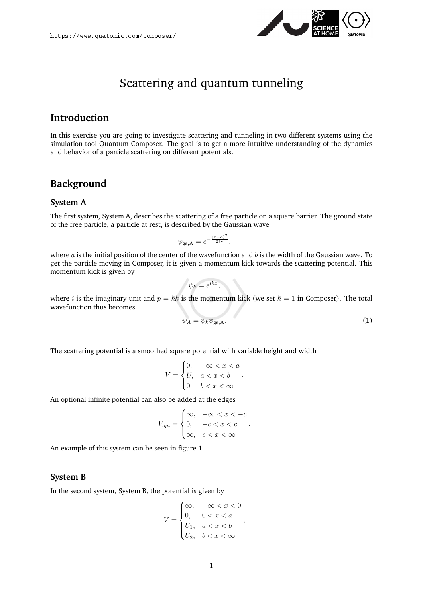

# Scattering and quantum tunneling

### **Introduction**

In this exercise you are going to investigate scattering and tunneling in two different systems using the simulation tool Quantum Composer. The goal is to get a more intuitive understanding of the dynamics and behavior of a particle scattering on different potentials.

### **Background**

#### **System A**

The first system, System A, describes the scattering of a free particle on a square barrier. The ground state of the free particle, a particle at rest, is described by the Gaussian wave

$$
\psi_{\rm gs,A} = e^{-\frac{(x-a)^2}{2b^2}},
$$

where  $a$  is the initial position of the center of the wavefunction and  $b$  is the width of the Gaussian wave. To get the particle moving in Composer, it is given a momentum kick towards the scattering potential. This momentum kick is given by

$$
\psi_k=e^{ikx},
$$

where i is the imaginary unit and  $p = \hbar k$  is the momentum kick (we set  $\hbar = 1$  in Composer). The total wavefunction thus becomes

<span id="page-0-0"></span>
$$
\psi_A = \psi_k \psi_{\text{gs},A}.\tag{1}
$$

The scattering potential is a smoothed square potential with variable height and width

$$
V = \begin{cases} 0, & -\infty < x < a \\ U, & a < x < b \\ 0, & b < x < \infty \end{cases}
$$

.

An optional infinite potential can also be added at the edges

$$
V_{opt} = \begin{cases} \infty, & -\infty < x < -c \\ 0, & -c < x < c \\ \infty, & c < x < \infty \end{cases}.
$$

An example of this system can be seen in figure [1.](#page-1-0)

#### **System B**

In the second system, System B, the potential is given by

$$
V = \begin{cases} \infty, & -\infty < x < 0 \\ 0, & 0 < x < a \\ U_1, & a < x < b \\ U_2, & b < x < \infty \end{cases}
$$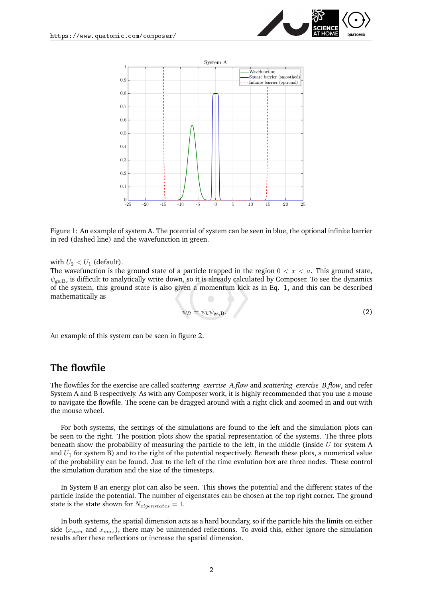



<span id="page-1-0"></span>Figure 1: An example of system A. The potential of system can be seen in blue, the optional infinite barrier in red (dashed line) and the wavefunction in green.

with  $U_2 < U_1$  (default).

The wavefunction is the ground state of a particle trapped in the region  $0 < x < a$ . This ground state,  $\psi_{gs,B}$ , is difficult to analytically write down, so it is already calculated by Composer. To see the dynamics of the system, this ground state is also given a momentum kick as in Eq. [1,](#page-0-0) and this can be described mathematically as

$$
\psi_B = \psi_k \psi_{gs,B}.\tag{2}
$$

An example of this system can be seen in figure [2.](#page-2-0)

### **The flowfile**

The flowfiles for the exercise are called *scattering\_exercise\_A.flow* and *scattering\_exercise\_B.flow*, and refer System A and B respectively. As with any Composer work, it is highly recommended that you use a mouse to navigate the flowfile. The scene can be dragged around with a right click and zoomed in and out with the mouse wheel.

For both systems, the settings of the simulations are found to the left and the simulation plots can be seen to the right. The position plots show the spatial representation of the systems. The three plots beneath show the probability of measuring the particle to the left, in the middle (inside U for system A and  $U_1$  for system B) and to the right of the potential respectively. Beneath these plots, a numerical value of the probability can be found. Just to the left of the time evolution box are three nodes. These control the simulation duration and the size of the timesteps.

In System B an energy plot can also be seen. This shows the potential and the different states of the particle inside the potential. The number of eigenstates can be chosen at the top right corner. The ground state is the state shown for  $N_{eigenstates} = 1$ .

In both systems, the spatial dimension acts as a hard boundary, so if the particle hits the limits on either side ( $x_{min}$  and  $x_{max}$ ), there may be unintended reflections. To avoid this, either ignore the simulation results after these reflections or increase the spatial dimension.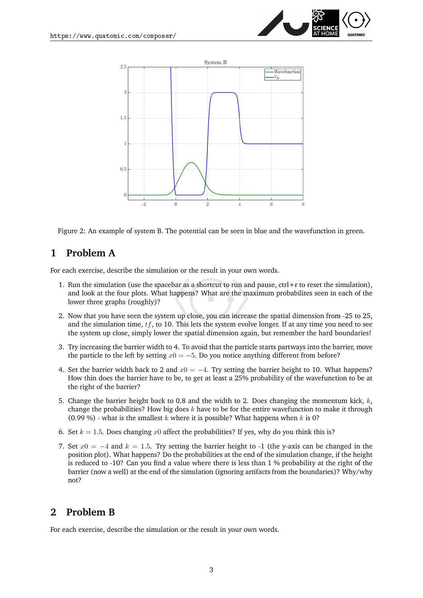



<span id="page-2-0"></span>Figure 2: An example of system B. The potential can be seen in blue and the wavefunction in green.

## **1 Problem A**

For each exercise, describe the simulation or the result in your own words.

- 1. Run the simulation (use the spacebar as a shortcut to run and pause,  $ctrl+r$  to reset the simulation), and look at the four plots. What happens? What are the maximum probabilites seen in each of the lower three graphs (roughly)?
- 2. Now that you have seen the system up close, you can increase the spatial dimension from -25 to 25, and the simulation time,  $tf$ , to 10. This lets the system evolve longer. If at any time you need to see the system up close, simply lower the spatial dimension again, but remember the hard boundaries!
- 3. Try increasing the barrier width to 4. To avoid that the particle starts partways into the barrier, move the particle to the left by setting  $x0 = -5$ . Do you notice anything different from before?
- 4. Set the barrier width back to 2 and  $x0 = -4$ . Try setting the barrier height to 10. What happens? How thin does the barrier have to be, to get at least a 25% probability of the wavefunction to be at the right of the barrier?
- 5. Change the barrier height back to 0.8 and the width to 2. Does changing the momentum kick,  $k$ , change the probabilities? How big does  $k$  have to be for the entire wavefunction to make it through (0.99 %) - what is the smallest  $k$  where it is possible? What happens when  $k$  is 0?
- 6. Set  $k = 1.5$ . Does changing x0 affect the probabilities? If yes, why do you think this is?
- 7. Set  $x0 = -4$  and  $k = 1.5$ . Try setting the barrier height to -1 (the y-axis can be changed in the position plot). What happens? Do the probabilities at the end of the simulation change, if the height is reduced to -10? Can you find a value where there is less than 1 % probability at the right of the barrier (now a well) at the end of the simulation (ignoring artifacts from the boundaries)? Why/why not?

## **2 Problem B**

For each exercise, describe the simulation or the result in your own words.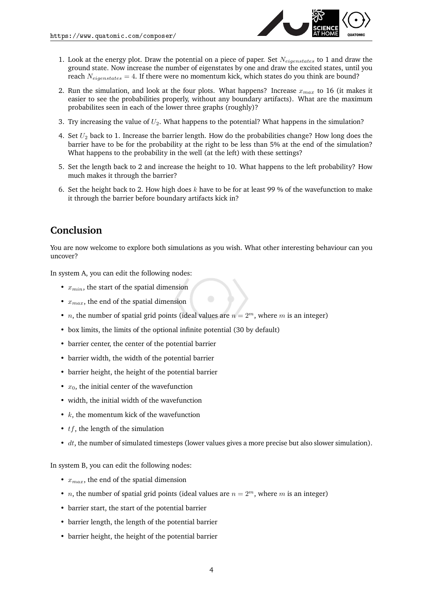

- 1. Look at the energy plot. Draw the potential on a piece of paper. Set  $N_{eigenstates}$  to 1 and draw the ground state. Now increase the number of eigenstates by one and draw the excited states, until you reach  $N_{eigenstates} = 4$ . If there were no momentum kick, which states do you think are bound?
- 2. Run the simulation, and look at the four plots. What happens? Increase  $x_{max}$  to 16 (it makes it easier to see the probabilities properly, without any boundary artifacts). What are the maximum probabilites seen in each of the lower three graphs (roughly)?
- 3. Try increasing the value of  $U_2$ . What happens to the potential? What happens in the simulation?
- 4. Set  $U_2$  back to 1. Increase the barrier length. How do the probabilities change? How long does the barrier have to be for the probability at the right to be less than 5% at the end of the simulation? What happens to the probability in the well (at the left) with these settings?
- 5. Set the length back to 2 and increase the height to 10. What happens to the left probability? How much makes it through the barrier?
- 6. Set the height back to 2. How high does  $k$  have to be for at least 99 % of the wavefunction to make it through the barrier before boundary artifacts kick in?

## **Conclusion**

You are now welcome to explore both simulations as you wish. What other interesting behaviour can you uncover?

In system A, you can edit the following nodes:

- $x_{min}$ , the start of the spatial dimension
- $x_{max}$ , the end of the spatial dimension
- *n*, the number of spatial grid points (ideal values are  $n = 2^m$ , where m is an integer)
- box limits, the limits of the optional infinite potential (30 by default)
- barrier center, the center of the potential barrier
- barrier width, the width of the potential barrier
- barrier height, the height of the potential barrier
- $x_0$ , the initial center of the wavefunction
- width, the initial width of the wavefunction
- $k$ , the momentum kick of the wavefunction
- $tf$ , the length of the simulation
- $\bullet$  dt, the number of simulated timesteps (lower values gives a more precise but also slower simulation).

In system B, you can edit the following nodes:

- $x_{max}$ , the end of the spatial dimension
- *n*, the number of spatial grid points (ideal values are  $n = 2^m$ , where *m* is an integer)
- barrier start, the start of the potential barrier
- barrier length, the length of the potential barrier
- barrier height, the height of the potential barrier